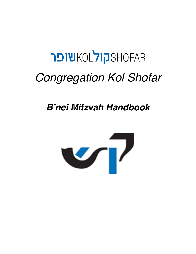# **PIWKOL TIPSHOFAR** *Congregation Kol Shofar*

## *B'nei Mitzvah Handbook*

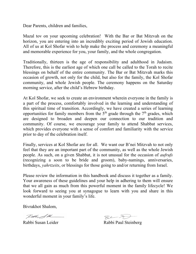Dear Parents, children and families,

Mazal tov on your upcoming celebration! With the Bar or Bat Mitzvah on the horizon, you are entering into an incredibly exciting period of Jewish education. All of us at Kol Shofar wish to help make the process and ceremony a meaningful and memorable experience for you, your family, and the whole congregation.

Traditionally, thirteen is the age of responsibility and adulthood in Judaism. Therefore, this is the earliest age of which one call be called to the Torah to recite blessings on behalf of the entire community. The Bar or Bat Mitzvah marks this occasion of growth, not only for the child, but also for the family, the Kol Shofar community, and whole Jewish people. The ceremony happens on the Saturday morning service, after the child's Hebrew birthday.

At Kol Shofar, we seek to create an environment wherein everyone in the family is a part of the process, comfortably involved in the learning and understanding of this spiritual time of transition. Accordingly, we have created a series of learning opportunities for family members from the  $5<sup>th</sup>$  grade through the  $7<sup>th</sup>$  grades, which are designed to broaden and deepen our connection to our tradition and community. Of course, we encourage your family to attend Shabbat services, which provides everyone with a sense of comfort and familiarity with the service prior to day of the celebration itself.

Finally, services at Kol Shofar are for all. We want our B'nei Mitzvah to not only feel that they are an important part of the community, as well as the whole Jewish people. As such, on a given Shabbat, it is not unusual for the occasion of *aufrufs* (recognizing a soon to be bride and groom), baby-namings, anniversaries, birthdays, *yahrtzeits*, or blessings for those going to and/or returning from Israel.

Please review the information in this handbook and discuss it together as a family. Your awareness of these guidelines and your help in adhering to them will ensure that we all gain as much from this powerful moment in the family lifecycle! We look forward to seeing you at synagogue to learn with you and share in this wonderful moment in your family's life.

Bivrakhot Shalom,

Rach &M

Rabbi Susan Leider Rabbi Paul Steinberg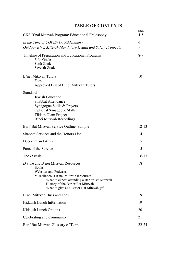### **TABLE OF CONTENTS**

|                                                                                                                                                                                                                                                                | <u>pgs.</u>         |  |
|----------------------------------------------------------------------------------------------------------------------------------------------------------------------------------------------------------------------------------------------------------------|---------------------|--|
| CKS B'nai Mitzvah Program: Educational Philosophy                                                                                                                                                                                                              | $4 - 5$             |  |
| In the Time of COVID-19: Addendum /<br>Outdoor B'nei Mitzvah Mandatory Health and Safety Protocols                                                                                                                                                             | 6<br>$\overline{7}$ |  |
| Timeline of Preparation and Educational Programs<br>Fifth Grade<br><b>Sixth Grade</b><br>Seventh Grade                                                                                                                                                         | $8-9$               |  |
| B'nei Mitzvah Tutors<br>Fees<br>Approved List of B'nei Mitzvah Tutors                                                                                                                                                                                          | 10                  |  |
| <b>Standards</b><br>Jewish Education<br>Shabbat Attendance<br>Synagogue Skills & Prayers<br>Optional Synagogue Skills<br>Tikkun Olam Project<br>B'nei Mitzvah Recordings                                                                                       | 11                  |  |
| Bar / Bat Mitzvah Service Outline: Sample                                                                                                                                                                                                                      | $12 - 13$           |  |
| Shabbat Services and the Honors List                                                                                                                                                                                                                           | 14                  |  |
| Decorum and Attire                                                                                                                                                                                                                                             | 15                  |  |
| Parts of the Service                                                                                                                                                                                                                                           | 15                  |  |
| The D'rash                                                                                                                                                                                                                                                     | $16-17$             |  |
| D'rash and B'nei Mitzvah Resources<br><b>Books</b><br><b>Websites and Podcasts</b><br>Miscellaneous B'nei Mitzvah Resources<br>What to expect attending a Bar or Bat Mitzvah<br>History of the Bar or Bat Mitzvah<br>What to give as a Bar or Bat Mitzvah gift | 18                  |  |
| B'nei Mitzvah Dues and Fees                                                                                                                                                                                                                                    | 19                  |  |
| Kiddush Lunch Information                                                                                                                                                                                                                                      | 19                  |  |
| Kiddush Lunch Options                                                                                                                                                                                                                                          | 20                  |  |
| Celebrating and Community                                                                                                                                                                                                                                      | 21                  |  |
| Bar / Bat Mitzvah Glossary of Terms                                                                                                                                                                                                                            |                     |  |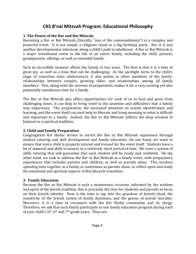### **CKS B'nai Mitzvah Program: Educational Philosophy**

#### **1. The Power of the Bar and Bat Mitzvah**

Becoming a Bar or Bat Mitzvah (literally, "one of the commandments") is a complex and powerful event. It is not simply a religious ritual or a big birthday party. Nor is it just another developmental milestone along a child's path to adulthood. A Bar or Bat Mitzvah is a major transitional event in the life of an entire family, including the child, parents, grandparents, siblings, as well as extended family.

Such an incredible moment affects the family in two ways. The first is that it is a time of great joy, as well as a time that can be challenging. As the spotlight turns to the child's stage of transition (into adolescence), it also points to other members of the family: relationships between couples, growing older, and relationships among all family members. This, along with the stresses of preparation, makes it for a very exciting yet also potentially tumultuous time for a family.

The Bar or Bat Mitzvah also offers opportunities for each of us to heal and grow from challenging times. It can help to bring relief to the anxieties and difficulties that a family may experience. The preparation, the increased attention on Jewish identification and learning, and the event itself can each help to liberate and bring meaning to what is difficult and important to a family. Indeed, the Bar or Bat Mitzvah reflects the deep wisdom of Judaism as a spiritual tradition.

### **2. Child and Family Preparation**

Congregation Kol Shofar strives to enrich the Bar or Bat Mitzvah experience through student tutoring and skill development and family education. On one hand, we want to ensure that every child is properly tutored and trained for the event itself. Students have a lot of material and skills to master in a relatively short period of time. We have a system of skills tutoring that will guarantee that each student will be ready and confident. On the other hand, we look to address the Bar or Bat Mitzvah as a family event, with preparatory experiences that includes parents and children, as well as parents alone. This involves spending time together as a family or sometimes as parents alone, to reflect upon and study the emotional and spiritual aspects of this lifecycle transition.

### **3. Family Education**

Because the Bar or Bat Mitzvah is such a momentous occasion, informed by the wisdom and spirit of the Jewish tradition, this is precisely the time for students and parents to focus on their Jewish identity. Now is the time to tap into the grandeur of Jewish ritual, the sensitivity of the Jewish notion of family dynamics, and the genius of Jewish morality. Moreover, it is a time to reconnect with the Kol Shofar community and its clergy. Therefore, we ask that each family participate in one family education program during each of your child's  $5<sup>th</sup>$ , 6<sup>th</sup> and 7<sup>th</sup> grade years. They are: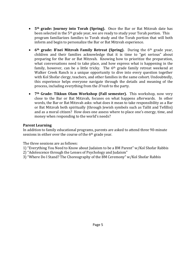- 5<sup>th</sup> grade: **Journey into Torah (Spring).** Once the Bar or Bat Mitzvah date has been selected in the  $5<sup>th</sup>$  grade year, we are ready to study your Torah portion. This program familiarizes families to Torah study and the Torah portion that will both inform and begin to personalize the Bar or Bat Mitzvah experience.
- 6<sup>th</sup> grade: B'nei Mitzvah Family Retreat (Spring). During the 6<sup>th</sup> grade year, children and their families acknowledge that it is time to "get serious" about preparing for the Bar or Bat Mitzvah. Knowing how to prioritize the preparation, what conversations need to take place, and how express what is happening in the family, however, can be a little tricky. The  $6<sup>th</sup>$  grade family retreat weekend at Walker Creek Ranch is a unique opportunity to dive into every question together with Kol Shofar clergy, teachers, and other families in the same cohort. Undoubtedly, this experience helps everyone navigate through the details and meaning of the process, including everything from the *D'rash* to the party.
- 7<sup>th</sup> Grade: Tikkun Olam Workshop (Fall semester). This workshop, now very close to the Bar or Bat Mitzvah, focuses on what happens afterwards. In other words, the Bar or Bat Mitzvah asks: what does it mean to take responsibility as a Bar or Bat Mitzvah both spiritually (through Jewish symbols such as Tallit and Tefillin) and as a moral citizen? How does one assess where to place one's energy, time, and money when responding to the world's needs?

### **Parent Learning**

In addition to family educational programs, parents are asked to attend three 90-minute sessions in either over the course of the  $6<sup>th</sup>$  grade year.

The three sessions are as follows:

- 1) "Everything You Need to Know about Judaism to be a BM Parent" w/Kol Shofar Rabbis
- 2) "Adolescence through the Lenses of Psychology and Judaism"
- 3) "Where Do I Stand? The Choreography of the BM Ceremony" w/Kol Shofar Rabbis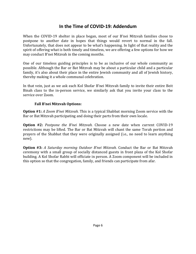### **In the Time of COVID-19: Addendum**

When the COVID-19 shelter in place began, most of our B'nei Mitzvah families chose to postpone to another date in hopes that things would revert to normal in the fall. Unfortunately, that does not appear to be what's happening. In light of that reality and the spirit of offering what is both timely and timeless, we are offering a few options for how we may conduct B'nei Mitzvah in the coming months.

One of our timeless guiding principles is to be as inclusive of our whole community as possible. Although the Bar or Bat Mitzvah may be about a particular child and a particular family, it's also about their place in the entire Jewish community and all of Jewish history, thereby making it a whole communal celebration.

In that vein, just as we ask each Kol Shofar B'nei Mitzvah family to invite their entire Beit Binah class to the in-person service, we similarly ask that you invite your class to the service over Zoom.

#### **Fall B'nei Mitzvah Options:**

**Option** #1: *A* Zoom B'nei Mitzvah. This is a typical Shabbat morning Zoom service with the Bar or Bat Mitzvah participating and doing their parts from their own locale.

**Option #2:** *Postpone the B'nei Mitzvah.* Choose a new date when current COVID-19 restrictions may be lifted. The Bar or Bat Mitzvah will chant the same Torah portion and prayers of the Shabbat that they were originally assigned (i.e., no need to learn anything new).

**Option #3:** *A Saturday morning Outdoor B'nei Mitzvah.* Conduct the Bar or Bat Mitzvah ceremony with a small group of socially distanced guests in front plaza of the Kol Shofar building. A Kol Shofar Rabbi will officiate in person. A Zoom component will be included in this option so that the congregation, family, and friends can participate from afar.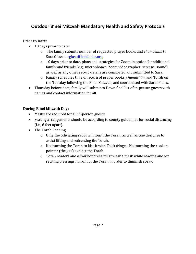### **Outdoor B'nei Mitzvah Mandatory Health and Safety Protocols**

### **Prior to Date:**

- 10 days prior to date:
	- o The family submits number of requested prayer books and *chumashim* to Sara Glass at sglass@kolshofar.org.
	- $\circ$  10 days prior to date, plans and strategies for Zoom-in option for additional family and friends (e.g., microphones, Zoom videographer, screens, sound), as well as any other set-up details are completed and submitted to Sara.
	- o Family schedules time of return of prayer books, *chumashim*, and Torah on the Tuesday following the B'nei Mitzvah, and coordinated with Sarah Glass.
- Thursday before date, family will submit to Dawn final list of in-person guests with names and contact information for all.

### **During B'nei Mitzvah Day:**

- Masks are required for all in-person guests.
- Seating arrangements should be according to county guidelines for social distancing  $(i.e., 6 feet apart).$
- The Torah Reading
	- $\circ$  Only the officiating rabbi will touch the Torah, as well as one designee to assist lifting and redressing the Torah.
	- $\circ$  No touching the Torah to kiss it with Tallit fringes. No touching the readers pointer (the *yad*) against the Torah.
	- o Torah readers and *aliyot* honorees must wear a mask while reading and/or reciting blessings in front of the Torah in order to diminish spray.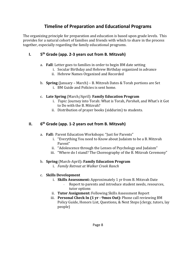### **Timeline of Preparation and Educational Programs**

The organizing principle for preparation and education is based upon grade levels. This provides for a natural cohort of families and friends with which to share in the process together, especially regarding the family educational programs.

### **I. 5th Grade (app. 2-3 years out from B. Mitzvah)**

### a. Fall: Letter goes to families in order to begin BM date setting

- i. Secular Birthday and Hebrew Birthday organized in advance
- ii. Hebrew Names Organized and Recorded
- b. **Spring** (January March) B. Mitzvah Dates & Torah portions are Set
	- i. BM Guide and Policies is sent home.

### c. **Late Spring** (March/April): **Family Education Program**

- i. *Topic*: Journey into Torah: What is Torah, *Parshah*, and What's it Got to Do with the B. Mitzvah?
- ii. Distribution of prayer books (siddurim) to students.

### **II. 6th Grade (app. 1-2 years out from B. Mitzvah)**

- a. Fall: Parent Education Workshops: "Just for Parents"
	- i. "Everything You need to Know about Judaism to be a B. Mitzvah Parent"
	- ii. "Adolescence through the Lenses of Psychology and Judaism"
	- iii. "Where do I stand? The Choreography of the B. Mitzvah Ceremony"

### b. **Spring** (March-April): **Family Education Program**

i. *Family Retreat at Walker Creek Ranch*

### c. **Skills Development**

- i. **Skills Assessment:** Approximately 1 yr from B. Mitzvah Date
	- Report to parents and introduce student needs, resources, tutor options
- ii. Tutor Assignment: Following Skills Assessment Report
- iii. **Personal Check In (1 yr 9mos Out):** Phone call reviewing BM Policy Guide, Honors List, Questions, & Next Steps (clergy, tutors, lay people)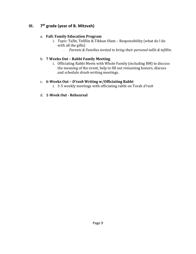### **III. 7th grade (year of B. Mitzvah)**

### a. **Fall: Family Education Program**

- i. *Topic*: Tallit, Tefillin & Tikkun Olam Responsibility (what do I do with all the gifts)
	- *Parents & Families invited to bring their personal tallit & tefillin.*

### b. **7 Weeks Out – Rabbi Family Meeting**

i. Officiating Rabbi Meets with Whole Family (including BM) to discuss the meaning of the event, help to fill out remaining honors, discuss and schedule *drash*-writing meetings.

### c. **6-Weeks Out – D'rash Writing w/Officiating Rabbi**

i. 3-5 weekly meetings with officiating rabbi on Torah *d'rash* 

### d. **1-Week Out - Rehearsal**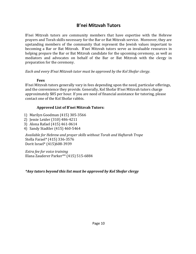### **B'nei Mitzvah Tutors**

B'nei Mitzvah tutors are community members that have expertise with the Hebrew prayers and Torah skills necessary for the Bar or Bat Mitzvah service. Moreover, they are upstanding members of the community that represent the Jewish values important to becoming a Bar or Bat Mitzvah. B'nei Mitzvah tutors serve as invaluable resources in helping prepare the Bar or Bat Mitzvah candidate for the upcoming ceremony, as well as mediators and advocates on behalf of the Bar or Bat Mitzvah with the clergy in preparation for the ceremony.

*Each* and every *B'nai Mitzvah* tutor must be approved by the Kol Shofar clergy.

#### **Fees**

B'nei Mitzvah tutors generally vary in fees depending upon the need, particular offerings, and the convenience they provide. Generally, Kol Shofar B'nei Mitzvah tutors charge approximately \$85 per hour. If you are need of financial assistance for tutoring, please contact one of the Kol Shofar rabbis.

### **Approved List of B'nei Mitzvah Tutors:**

- 1) Marilyn Goodman (415) 305-3566
- 2) Jessie Leider (310) 486-4211
- 3) Alona Rafael (415) 461-0614
- 4) Sandy Stadtler (415) 460-5464

Available for Hebrew and prayer skills without Torah and Haftarah Trope Stella Farael\* (415) 336-3576 Dorit Israel\* (415)608-3939

*Extra fee for voice training* Illana Zauderer Parker\*\* (415) 515-6884

### *\*Any tutors beyond this list must be approved by Kol Shofar clergy*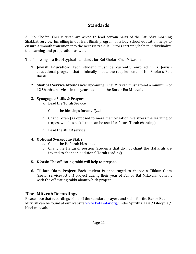### **Standards**

All Kol Shofar B'nei Mitzvah are asked to lead certain parts of the Saturday morning Shabbat service. Enrolling in our Beit Binah program or a Day School education helps to ensure a smooth transition into the necessary skills. Tutors certainly help to individualize the learning and preparation, as well.

The following is a list of typical standards for Kol Shofar B'nei Mitzvah:

- **1. Jewish Education:** Each student must be currently enrolled in a Jewish educational program that minimally meets the requirements of Kol Shofar's Beit Binah.
- **2. Shabbat Service Attendance:** Upcoming B'nei Mitzvah must attend a minimum of 12 Shabbat services in the year leading to the Bar or Bat Mitzvah.

### **3. Synagogue Skills & Prayers**

- a. Lead the Torah Service
- b. Chant the blessings for an *Aliyah*
- c. Chant Torah (as opposed to mere memorization, we stress the learning of tropes, which is a skill that can be used for future Torah chanting)
- d. Lead the *Musaf* service

#### **4. Optional Synagogue Skills**

- a. Chant the Haftarah blessings
- b. Chant the Haftarah portion (students that do not chant the Haftarah are invited to chant an additional Torah reading)
- **5.** *D'rash*: The officiating rabbi will help to prepare.
- **6. Tikkun Olam Project:** Each student is encouraged to choose a Tikkun Olam (social service/action) project during their year of Bar or Bat Mitzvah. Consult with the officiating rabbi about which project.

### **B'nei Mitzvah Recordings**

Please note that recordings of all off the standard prayers and skills for the Bar or Bat Mitzvah can be found at our website www.kolshofar.org, under Spiritual Life / Lifecycle / b'nei mitzvah.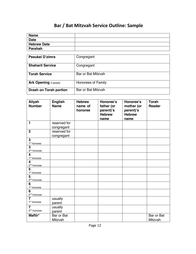### **Bar / Bat Mitzvah Service Outline: Sample**

| <b>Name</b>        |  |
|--------------------|--|
| <b>Date</b>        |  |
| <b>Hebrew Date</b> |  |
| Parshah            |  |

| Pesukei D'zimra               | Congregant         |
|-------------------------------|--------------------|
| <b>Shaharit Service</b>       | Congregant         |
| <b>Torah Service</b>          | Bar or Bat Mitzvah |
| <b>Ark Opening 2 people</b>   | Honorees of Family |
| <b>Drash on Torah portion</b> | Bar or Bat Mitzvah |

| Aliyah<br><b>Number</b>                            | <b>English</b><br><b>Name</b> | <b>Hebrew</b><br>name of<br>honoree | Honoree's<br>father (or<br>parent)'s<br><b>Hebrew</b><br>name | Honoree's<br>mother (or<br>parent)'s<br><b>Hebrew</b><br>name | <b>Torah</b><br>Reader |
|----------------------------------------------------|-------------------------------|-------------------------------------|---------------------------------------------------------------|---------------------------------------------------------------|------------------------|
| $\mathbf{1}$                                       | reserved for                  |                                     |                                                               |                                                               |                        |
|                                                    | congregant                    |                                     |                                                               |                                                               |                        |
| $\overline{2}$                                     | reserved for                  |                                     |                                                               |                                                               |                        |
|                                                    | congregant                    |                                     |                                                               |                                                               |                        |
| 3<br>1 <sup>st</sup> honoree                       |                               |                                     |                                                               |                                                               |                        |
| 3<br>2 <sup>nd</sup> honoree                       |                               |                                     |                                                               |                                                               |                        |
| $\overline{\mathbf{4}}$<br>1 <sup>st</sup> honoree |                               |                                     |                                                               |                                                               |                        |
| 4<br>$2nd$ honoree                                 |                               |                                     |                                                               |                                                               |                        |
| 5<br>$1st$ honoree                                 |                               |                                     |                                                               |                                                               |                        |
| 5<br>2 <sup>nd</sup> honoree                       |                               |                                     |                                                               |                                                               |                        |
| 6<br>1 <sup>st</sup> honoree                       |                               |                                     |                                                               |                                                               |                        |
| $6\phantom{1}6$<br>$2nd$ honoree                   |                               |                                     |                                                               |                                                               |                        |
| $\overline{\mathbf{z}}$                            | usually                       |                                     |                                                               |                                                               |                        |
| 1 <sup>st</sup> honoree                            | parent                        |                                     |                                                               |                                                               |                        |
| $\overline{7}$                                     | usually                       |                                     |                                                               |                                                               |                        |
| 2 <sup>nd</sup> honoree                            | parent                        |                                     |                                                               |                                                               |                        |
| Maftir*                                            | Bar or Bat                    |                                     |                                                               |                                                               | Bar or Bat             |
|                                                    | Mitzvah                       |                                     |                                                               |                                                               | Mitzvah                |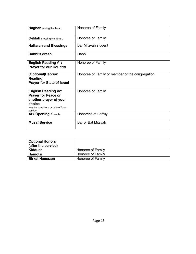| Hagbah raising the Torah.                                                                                                                   | Honoree of Family                               |
|---------------------------------------------------------------------------------------------------------------------------------------------|-------------------------------------------------|
| Gelilah dressing the Torah.                                                                                                                 | Honoree of Family                               |
| <b>Haftarah and Blessings</b>                                                                                                               | Bar Mitzvah student                             |
| Rabbi's drash                                                                                                                               | Rabbi                                           |
| <b>English Reading #1:</b><br><b>Prayer for our Country</b>                                                                                 | Honoree of Family                               |
| (Optional)Hebrew<br>Reading:<br><b>Prayer for State of Israel</b>                                                                           | Honoree of Family or member of the congregation |
| <b>English Reading #2:</b><br><b>Prayer for Peace or</b><br>another prayer of your<br>choice<br>may be done here or before Torah<br>service | Honoree of Family                               |
| <b>Ark Opening</b> 2 people                                                                                                                 | Honorees of Family                              |
| <b>Musaf Service</b>                                                                                                                        | Bar or Bat Mitzvah                              |

| <b>Optional Honors</b><br>(after the service) |                   |
|-----------------------------------------------|-------------------|
| Kiddush                                       | Honoree of Family |
| Hamotzi                                       | Honoree of Family |
| <b>Birkat Hamazon</b>                         | Honoree of Family |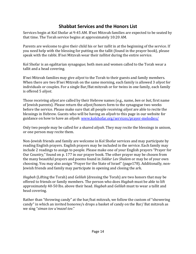### **Shabbat Services and the Honors List**

Services begin at Kol Shofar at 9:45 AM. B'nei Mitzvah families are expected to be seated by that time. The Torah service begins at approximately 10:20 AM.

Parents are welcome to give their child his or her *tallit* in at the beginning of the service. If you need help with the blessing for putting on the tallit (found in the prayer book), please speak with the rabbi. B'nei Mitzvah wear their *tallitot* during the entire service.

Kol Shofar is an egalitarian synagogue; both men and women called to the Torah wear a tallit and a head covering.

B'nei Mitzvah families may give *aliyot* to the Torah to their guests and family members. When there are two B'nei Mitzvah on the same morning, each family is allowed 3 *aliyot* for individuals or couples. For a single Bar/Bat mitzvah or for twins in one family, each family is offered 5 *aliyot*.

Those receiving *aliyot* are called by their Hebrew names (e.g., name, *ben* or *bat*, first name of Jewish parents). Please return the *aliyot*/honors form to the synagogue two weeks before the service. Please make sure that all people receiving *aliyot* are able to recite the blessings in Hebrew. Guests who will be having an *aliyah* to this page in our website for guidance on how to have an *aliyah*: www.kolshofar.org/services/prayer-melodies/

Only two people may be called for a shared *aliyah*. They may recite the blessings in unison, or one person may recite them.

Non-Jewish friends and family are welcome in Kol Shofar services and may participate by reading English prayers. English prayers may be included in the service. Each family may include 2 readings to assign to people. Please make one of your English prayers "Prayer for Our Country," found on p. 177 in our prayer book. The other prayer may be chosen from the many beautiful prayers and poems found in *Siddur Lev Shalem* or may be of your own choosing. You may also assign "Prayer for the State of Israel" (page178). Additionally, non-Jewish friends and family may participate in opening and closing the ark.

*Hagbah* (Lifting the Torah) and *Gelilah* (dressing the Torah) are two honors that may be offered to friends or family members. The person who does *Hagbah* must be able to lift approximately 40-50 lbs. above their head. *Hagbah* and *Gelilah* must to wear a tallit and head covering.

Rather than "throwing candy" at the bar/bat mitzvah, we follow the custom of "showering" candy" in which an invited honoree/s drops a basket of candy on the Bar/ Bat mitzvah as we sing "siman tov u'mazel tov."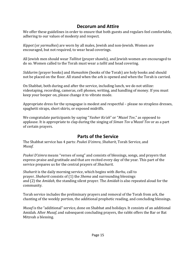### **Decorum and Attire**

We offer these guidelines in order to ensure that both guests and regulars feel comfortable, adhering to our values of modesty and respect.

*Kippot* (or *yarmulkes*) are worn by all males, Jewish and non-Jewish. Women are encouraged, but not required, to wear head coverings.

All Jewish men should wear *Tallitot* (prayer shawls), and Jewish women are encouraged to do so. Women called to the Torah must wear a *tallit* and head covering.

*Siddurim* (prayer books) and *Humashim* (books of the Torah) are holy books and should not be placed on the floor. All stand when the ark is opened and when the Torah is carried.

On Shabbat, both during and after the service, including lunch, we do not utilize: videotaping, recording, cameras, cell phones, writing, and handling of money. If you must keep your beeper on, please change it to vibrate mode.

Appropriate dress for the synagogue is modest and respectful – please no strapless dresses, spaghetti straps, short skirts, or exposed midriffs.

We congratulate participants by saying "*Yasher Ko'ah*" or "*Mazel Tov*," as opposed to applause. It is appropriate to clap during the singing of *Siman Tov u'Mazel Tov* or as a part of certain prayers.

### **Parts of the Service**

The Shabbat service has 4 parts: *Psukei D'zimra*, *Shaharit*, Torah Service, and *Musaf*.

*Psukei D'zimra* means "verses of song" and consists of blessings, songs, and prayers that express praise and gratitude and that are recited every day of the year. This part of the service prepares us for the central prayers of *Shacharit*.

*Shaharit* is the daily morning service, which begins with *Barhu*, call to prayer. *Shaharit* consists of (1) the *Shema* and surrounding blessings and (2) the *Amidah*, the standing silent prayer. The *Amidah* is also repeated aloud for the community.

Torah service includes the preliminary prayers and removal of the Torah from ark, the chanting of the weekly portion, the additional prophetic reading, and concluding blessings.

*Musaf* is the "additional" service, done on Shabbat and holidays. It consists of an additional Amidah. After *Musaf*, and subsequent concluding prayers, the rabbi offers the Bar or Bat Mitzvah a blessing.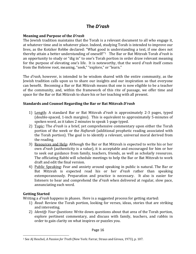### **The** *D'rash*

#### **Meaning and Purpose of the** *D'rash*

The Jewish tradition maintains that the Torah is a relevant document to all who engage it, at whatever time and in whatever place. Indeed, studying Torah is intended to improve our lives, as the Kotzker Rebbe declared: "What good is understanding a text, if one does not thereby attain a better understanding of oneself!"<sup>1</sup> The Bar or Bat Mitzvah Torah d'rash is an opportunity to study or "dig in" to one's Torah portion in order draw relevant meaning for the purpose of elevating one's life. It is noteworthy, that the word *d'rash* itself comes from the Hebrew root, meaning, "seek," "explore," or "learn."

The *d'rash*, however, is intended to be wisdom shared with the entire community, as the Jewish tradition calls upon us to share our insights and our inspiration so that everyone can benefit. Becoming a Bar or Bat Mitzvah means that one is now eligible to be a teacher of the community, and, within the framework of this rite of passage, we offer time and space for the Bar or Bat Mitzvah to share his or her teaching with all present.

#### **Standards and Counsel Regarding the Bar or Bat Mitzvah** *D'rash*

- 1) Length: A standard Bar or Bat Mitzvah *d'rash* is approximately 2-3 pages, typed (double-spaced, 1-inch margins). This is equivalent to approximately 5-minutes of spoken word, as it takes 2 minutes to speak 1-page typed.
- 2) Topic: The *d'rash* is a brief, yet comprehensive commentary upon either the Torah portion of the week or the *Haftarah* (additional prophetic reading associated with the Torah portion). The goal is to identify a relevant, universal moral derived from the reading.
- 3) Resources and Help: Although the Bar or Bat Mitzvah is expected to write his or her own *d'rash* (authenticity is a value), it is acceptable and encouraged for him or her to seek out guidance from family, teachers, friends, as well as scholarly resources. The officiating Rabbi will schedule meetings to help the Bar or Bat Mitzvah to work draft and edit the final version.
- 4) Public Speaking: Fear and anxiety around speaking in public is natural. The Bar or Bat Mitzvah is expected read his or her *d'rash* rather than speaking extemporaneously. Preparation and practice is necessary. It also is easier for listeners to hear and comprehend the *d'rash* when delivered at regular, slow pace, annunciating each word.

### **Getting Started**

Writing a *d'rash* happens in phases. Here is a suggested process for getting started:

- 1) *Read*: Review the Torah portion, looking for verses, ideas, stories that are striking and interesting.
- 2) *Identify Your Questions*: Write down questions about that area of the Torah portion, explore pertinent commentary, and discuss with family, teachers, and rabbis in order to gain clarity on what inspires or puzzles you.

<sup>&</sup>lt;sup>1</sup> See AJ Heschel, *A Passion for Truth* (New York: Farrar, Straus and Giroux, 1973), p. 107.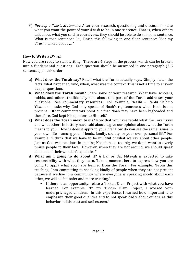3) *Develop a Thesis Statement*: After your research, questioning and discussion, state what you want the point of your *d'rash* to be in one sentence. That is, when others talk about what you said in your *d'rash*, they should be able to do so in one sentence. What is that sentence? I.e., Finish this following in one clear sentence: "For my d'rash I talked about ... "

#### **How to Write a** *D'rash*

Now you are ready to start writing. There are 4 Steps in the process, which can be broken into 4 fundamental questions. Each question should be answered in one paragraph  $(3-5)$ sentences), in this order:

- **a)** What does the Torah say? Retell what the Torah actually says. Simply states the facts: what happened, who, when, what was the context. This is not a time to answer deeper questions.
- **b)** What does the Torah mean? Share some of your research. What have scholars, rabbis, and others traditionally said about this part of the Torah addresses your questions. (See commentary resources). For example, "Rashi - Rabbi Shlomo Yitzchaki - asks why God only speaks of Noah's righteousness when Noah is not present. Other commentators point out that Noah may have been bigheaded and therefore, God kept His opinions to Himself."
- **c)** What does the Torah mean to me? Now that you have retold what the Torah says and what others in history have said about it, give our opinion about what the Torah means to you. How is does it apply to your life? How do you see the same issues in your own life - among your friends, family, society, or your own personal life? For example: "I think that we have to be mindful of what we say about other people. Just as God was cautious in making Noah's head too big, we don't want to overly praise people to their face. However, when they are not around, we should speak about all of their wonderful qualities."
- **d)** What am I going to do about it? A Bar or Bat Mitzvah is expected to take responsibility with what they learn. Take a moment here to express how you are going to apply what you have learned from the Torah. For example: "From this teaching, I am committing to speaking kindly of people when they are not present because if we live in a community where everyone is speaking nicely about each other, we will all feel safer and more trusting."
	- If there is an opportunity, relate a Tikkun Olam Project with what you have learned. For example: "In my Tikkun Olam Project, I worked with underprivileged children. In this experience, I learned how important is to emphasize their good qualities and to not speak badly about others, as this behavior builds trust and self-esteem."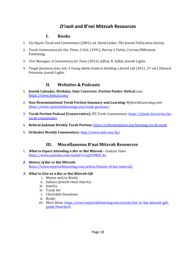### *D'rash* **and B'nei Mitzvah Resources**

### **I. Books**

- 1. *Etz Hayim Torah and Commentary* (2001), ed. David Lieber, The Jewish Publication Society.
- 2. *Torah Commentary for Our Times, 3 Vols.* (1991), Harvey J. Fields, J Levine/Millenium Publishing.
- 3. *Text Messages: A Commentary for Teens* (2012), Jeffrey K. Salkin, Jewish Lights.
- 4. *Tough Questions Jews Ask: A Young Adults Guide to Building a Jewish Life* (2012, 2<sup>nd</sup> ed.), Edward Feinstein, Jewish Lights.

### **II. Websites & Podcasts**

- 1. **Jewish Calendar, Birthday, Date Converter, Portion Finder: Hebcal.com:** https://www.hebcal.com/
- 2. **Non-Denominational Torah Portion Summary and Learning:** MyJewishLearning.com: https://www.myjewishlearning.com/torah-portions/
- 3. **Torah Portion Podcast (Conservative):** JTS Torah Commentary: https://player.fm/series/jtstorah-commentary
- 4. **Reform Judaism Weekly Torah Portion:** https://reformjudaism.org/learning/torah-study
- 5. **Orthodox Weekly Commentary:** http://www.aish.com/tp/

### **III. Miscellaneous B'nai Mitzvah Resources**

- 1. **What to Expect Attending a Bar or Bat Mitzvah -** Godcast Video https://www.youtube.com/watch?v=GqTO9BID\_Xs
- *2. History of Bar or Bat Mitzvah:* https://www.myjewishlearning.com/article/history-of-bar-mitzvah/

#### 3. What to Give as a Bar or Bat Mitzvah Gift

- i. Money and/or Bonds
- ii. Judaica (Jewish ritual objects)
- iii. Jewelry
- iv. Torah Art
- v. Charitable Donations
- vi. Books
- vii. More Ideas: https://www.myjewishlearning.com/article/bar-or-bat-mitzvah-giftguide/#anchor6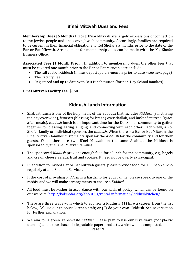### **B'nai Mitzvah Dues and Fees**

**Membership Dues [6 Months Prior]:** B'nai Mitzvah are largely expressions of connection to the Jewish people and one's own Jewish community. Accordingly, families are required to be current in their financial obligations to Kol Shofar six months prior to the date of the Bar or Bat Mitzvah. Arrangement for membership dues can be made with the Kol Shofar Business Office.

**Associated Fees [1 Month Prior]:** In addition to membership dues, the other fees that must be covered one month prior to the Bar or Bat Mitzvah date, include:

- The full cost of Kiddush (minus deposit paid 3-months prior to date see next page)
- The Facility Fee
- Registered and up to date with Beit Binah tuition (for non-Day School families)

### **B'nei Mitzvah Facility Fee: \$360**

### **Kiddush Lunch Information**

- Shabbat lunch is one of the holy meals of the Sabbath that includes *Kiddush* (sanctifying the day over wine), *hamotzi* (blessing for bread) over challah, and *birkat hamazon* (grace after meals). *Kiddush* lunch is an important time for the Kol Shofar community to gather together for blessing, eating, singing, and connecting with each other. Each week, a Kol Shofar family or individual sponsors the *Kiddush*. When there is a Bar or Bat Mitzvah, the B'nei Mitzvah families customarily sponsor the *Kiddush* for the community and for their guests. When there are two B'nei Mitzvah on the same Shabbat, the Kiddush is sponsored by the B'nei Mitzvah families.
- The sponsored *Kiddush* provides enough food for a lunch for the community, e.g., bagels and cream cheese, salads, fruit and cookies. It need not be overly extravagant.
- In addition to invited Bar or Bat Mitzvah guests, please provide food for 120 people who regularly attend Shabbat Services.
- If the cost of providing *Kiddush* is a hardship for your family, please speak to one of the rabbis, and we will make arrangements to ensure a *Kiddush*.
- All food must be kosher in accordance with our kashrut policy, which can be found on our website, http://kolshofar.org/about-us/rental-information/kiddushkitchen/
- There are three ways with which to sponsor a Kiddush:  $(1)$  hire a caterer from the list below; (2) use our in-house kitchen staff; or (3) do your own Kiddush. See next section for further explanation.
- We aim for a green, zero-waste *Kiddush*. Please plan to use our silverware (not plastic utensils) and to purchase biodegradable paper products, which will be composted.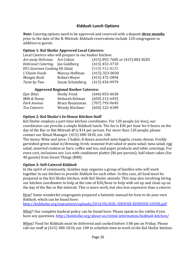### **Kiddush Lunch Options**

*Note*: Catering options need to be approved and reserved with a deposit *three months* prior to the date of the B. Mitzvah. Kiddush reservations include 120 congregants in addition to guests.

### **Option 1: Kol Shofar Approved Local Caterers:**

Local Caterers who will prepare in our kosher kitchen:

| Avi-ously Delicious Avi Cohen    |                  | (415) 892-7685 or (415) 883-8283 |
|----------------------------------|------------------|----------------------------------|
| Delicious! Catering Jan Goldberg |                  | $(415)$ 453-3710                 |
| Eli's Gourmet Cooking Eli Gilad  |                  | $(510)$ 912-8235                 |
| L'Chaim Foods                    | Marcus Hoffman   | $(415) - 323 - 0030$             |
| Mangia Nosh                      | Robert Meyer     | $(415)$ 472-2894                 |
| Taste by Two                     | Susan Schatzberg | $(415)$ 454-9979                 |

#### **Approved Regional Kosher Caterers:**

| Heshy Fried            | $(646)$ 853-4630 |
|------------------------|------------------|
| Deborah Kelman         | $(650)$ 212-6455 |
| <b>Bruce Riezenman</b> | $(707)$ 793-9645 |
| Wendy Kleckner         | $(650)$ 322-4189 |
|                        |                  |

#### **Option 2: Kol Shofar's In-House Kitchen Staff**

Kol Shofar employs a part-time kitchen coordinator. For 120 people (or less), our coordinator can provide a simple Kiddush lunch. The fee is \$30 per hour for 6 hours on the day of the Bar or Bat Mitzvah  $\omega$  is \$14 per person. For more than 120 people, please contact our Ritual Manager: (415) 388-1818, ext. 100.

The menu: Wine and juice; 3 hallot; 8 dozen assorted mini-bagels; cream cheese; freshly garnished green salad w/dressing; fresh, seasonal fruit salad or pasta salad; tuna salad; egg salad; assorted cookies or bars; coffee and tea; and paper products and table coverings. For extra cost, inclusions are: Lox with condiment platter (\$6 per person); half-sheet cakes (for 40 guests) from Sweet Things (\$88).

#### **Option 3: Self-Catered** *Kiddush*

In the spirit of community, families may organize a group of families who will work together in our kitchen to provide *Kiddush* for each other. In this case, all food must be prepared in the Kol Shofar kitchen, with Kol Shofar utensils. This may also involving hiring our kitchen coordinator to help at the rate of \$30/hour to help with set up and clean up on the day of the Bar or Bat mitzvah. This is more work, but also less expensive than a caterer.

How? Some wonderful congregants prepared a fantastic manual for how to do your own *Kiddush*, which can be found here:

http://kolshofar.org/wpcontent/uploads/2014/06/KOL-SHOFAR-KIDDUSH-GUIDE.pdf

What? Our complete kashrut policy can be found here: Please speak to the rabbis if you have any questions. http://kolshofar.org/about-us/rental-information/kiddush-kitchen/

When? Food for Kiddush must be delivered and cooked before 3:00 pm on Friday. Please call our staff at (415) 388-1818, ext. 100 to schedule time to work in the Kol Shofar kitchen.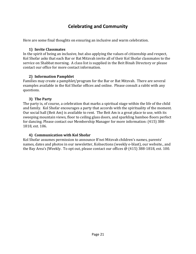### **Celebrating and Community**

Here are some final thoughts on ensuring an inclusive and warm celebration.

#### **1) Invite Classmates**

In the spirit of being an inclusive, but also applying the values of citizenship and respect, Kol Shofar asks that each Bar or Bat Mitzvah invite all of their Kol Shofar classmates to the service on Shabbat morning. A class list is supplied in the Beit Binah Directory or please contact our office for more contact information.

### **2) Information Pamphlet**

Families may create a pamphlet/program for the Bar or Bat Mitzvah. There are several examples available in the Kol Shofar offices and online. Please consult a rabbi with any questions.

### **3) The Party**

The party is, of course, a celebration that marks a spiritual stage within the life of the child and family. Kol Shofar encourages a party that accords with the spirituality of the moment. Our social hall (Beit Am) is available to rent. The Beit Am is a great place to use, with its sweeping mountain views, floor to ceiling glass doors, and sparkling bamboo floors perfect for dancing. Please contact our Membership Manager for more information: (415) 388-1818, ext. 106.

### **4) Communication with Kol Shofar**

Kol Shofar assumes permission to announce B'nei Mitzvah children's names, parents' names, dates and photos in our newsletter, Kolnections (weekly e-blast), our website., and the Bay Area's JWeekly. To opt out, please contact our offices  $\omega$  (415) 388-1818, ext. 100.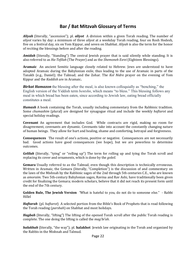### **Bar / Bat Mitzvah Glossary of Terms**

*Aliyah* (literally, "ascension"); pl. *aliyot* A division within a given Torah reading. The number of *aliyot* varies by day: a minimum of three *aliyot* at a weekday Torah reading, four on Rosh Hodesh, five on a festival day, six on Yom Kippur, and seven on Shabbat. *Aliyah* is also the term for the honor of reciting the blessings before and after the reading.

*Amidah* (literally, "Standing") The central Jewish prayer that is said silently while standing. It is also referred to as *Ha-Tefilah* (The Prayer) and as the *Shemoneh Esrei* (Eighteen Blessings).

**Aramaic** An ancient Semitic language closely related to Hebrew. Jews are understood to have adopted Aramaic during the Babylonian exile, thus leading to the use of Aramaic in parts of the Tanakh (e.g., Daniel); the Talmud; and the Zohar. The *Kol Nidre* prayer on the evening of Yom Kippur and the *Kaddish* are in Aramaic.

**Birkat Hamazon** the blessing after the meal, is also known colloquially as "benching," the English version of the Yiddish term *bentshn*, which means "to bless." This blessing follows any meal in which bread has been eaten, since according to Jewish law, eating bread officially constitutes a meal.

*Humash* A book containing the Torah, usually including commentary from the Rabbinic tradition. Some *chumashim* (plural) are designed for synagogue ritual and include the weekly *haftarot* and special holiday readings.

**Covenant** An agreement that includes God. While contracts are rigid, making no room for disagreement, covenants are dynamic. Covenants take into account the constantly changing nature of human beings. They allow for hurt and healing, shame and comforting, betrayal and forgiveness.

**Consequences** The result of one's actions, positive or negative. Consequences are not necessarily bad. Good actions have good consequences (we hope), but we are powerless to determine outcomes.

*Gelilah* (literally, "tying" or "rolling up") The term for rolling up and tying the Torah scroll and replacing its cover and ornaments, which is done by the *goleil*.

**Gemara** Usually referred to as the Talmud, even though this description is technically erroneous. Written in Aramaic, the Gemara (literally, "Completion") is the discussion of and commentary on the laws of the Mishnah by the Rabbinic sages of the 2nd through 5th centuries C.E., who are known as *amoraim*. Two 5th-century Babylonian sages, Ravina and Rav Ashi, have traditionally been given credit for finalizing the Gemara; modern scholars, believe that it did not reach its present form until the end of the 7th century.

**Golden Rule, The Jewish Version** *"What is hateful to you, do not do to someone else."* - Rabbi Hillel

*Haftarah* (pl. *haftarot*) A selected portion from the Bible's Book of Prophets that is read following the Torah reading (*parshah*) on Shabbat and most holidays.

*Hagbah* (literally, "lifting") The lifting of the opened Torah scroll after the public Torah reading is complete. The one doing the lifting is called the *mag'bi'ah*.

*halakhah* (literally, "the way"); pl. halakhot Jewish law originating in the Torah and organized by the Rabbis in the Mishnah and Talmud.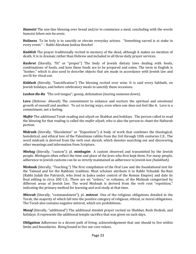*Hamotzi* The one-line blessing over bread and/or to commence a meal, concluding with the words *hamotzi lehem min ha-aretz*.

**Holiness** To be holy is to sanctify or elevate everyday actions. "Something sacred is at stake in every event." - Rabbi Abraham Joshua Heschel

*Kaddish* The prayer traditionally recited in memory of the dead, although it makes no mention of death. It is in Aramaic rather than Hebrew and included in all three daily prayer services.

*Kashrut* (literally, "fit" or "proper") The body of Jewish dietary laws dealing with foods, combinations of foods, and how these foods are to be prepared and eaten. The term in English is "kosher," which is also used to describe objects that are made in accordance with Jewish law and are fit for ritual use.

*Kiddush* (literally, "Sanctification") The blessing recited over wine. It is said every Sabbath, on Jewish holidays, and before celebratory meals to sanctify these occasions.

*Lashon Ha-Ra* "The evil tongue"; gossip, defamation (tearing someone down).

**Love** (Hebrew: *Ahavah*) The commitment to enhance and nurture the spiritual and emotional growth of oneself and another. To act in loving ways, even when one does not feel like it. Love is a commitment, not a feeling.

*Maftir* The additional Torah reading and *aliyah* on Shabbat and holidays. The person called to read the blessing for that reading is called the *maftir aliyah*, who is also the person to chant the Haftarah portion.

**Midrash** (literally, "Elucidation" or "Exposition") A body of work that combines the theological, homiletical, and ethical lore of the Palestinian rabbis from the 3rd through 10th centuries C.E.. The word midrash is derived from the verb root *darash*, which denotes searching out and discovering other meanings and information from Scripture.

*Minhag* (literally, "custom"); pl. *minhagim* A custom observed and transmitted by the Jewish people. *Minhagim* often reflect the time and place of the lews who first kept them. For many people, adherence to Jewish customs can be as strictly maintained as adherence to Jewish law *(halakhah).* 

**Mishnah** (literally, "Teaching.") The first compilation of the Oral Law and the foundational text for the Talmud and for the Rabbinic tradition. Most scholars attribute it to Rabbi Yehudah Ha-Nasi (Rabbi Judah the Patriarch, who lived in Judea under control of the Roman Empire) and date its final editing to circa 200 C.E.. There are six "orders," or volumes, of the Mishnah categorized by different areas of Jewish law. The word Mishnah is derived from the verb root "repetition," indicating the primary method for learning and oral study at that time.

*Mitzvah* (literally, "commandment"); pl. *mitzvot* One of the religious obligations detailed in the Torah, the majority of which fall into the positive category of religious, ethical, or moral obligations. The Torah also contains negative mitzvot, which are prohibitions.

*Musaf* (literally, "additional") The additional *Amidah* prayer recited on Shabbat, Rosh Hodesh, and holidays. It represents the additional temple sacrifice that was given on such days.

**Obligation** Adherence to a decent path of living; acknowledgement that one should to live within limits and boundaries. Being bound to live our core values.